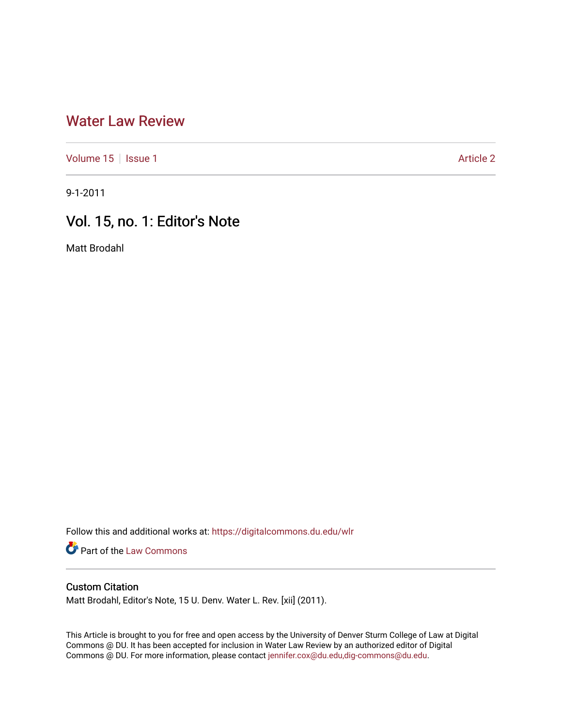## [Water Law Review](https://digitalcommons.du.edu/wlr)

[Volume 15](https://digitalcommons.du.edu/wlr/vol15) | [Issue 1](https://digitalcommons.du.edu/wlr/vol15/iss1) Article 2

9-1-2011

## Vol. 15, no. 1: Editor's Note

Matt Brodahl

Follow this and additional works at: [https://digitalcommons.du.edu/wlr](https://digitalcommons.du.edu/wlr?utm_source=digitalcommons.du.edu%2Fwlr%2Fvol15%2Fiss1%2F2&utm_medium=PDF&utm_campaign=PDFCoverPages) 

**Part of the [Law Commons](http://network.bepress.com/hgg/discipline/578?utm_source=digitalcommons.du.edu%2Fwlr%2Fvol15%2Fiss1%2F2&utm_medium=PDF&utm_campaign=PDFCoverPages)** 

## Custom Citation

Matt Brodahl, Editor's Note, 15 U. Denv. Water L. Rev. [xii] (2011).

This Article is brought to you for free and open access by the University of Denver Sturm College of Law at Digital Commons @ DU. It has been accepted for inclusion in Water Law Review by an authorized editor of Digital Commons @ DU. For more information, please contact [jennifer.cox@du.edu,dig-commons@du.edu.](mailto:jennifer.cox@du.edu,dig-commons@du.edu)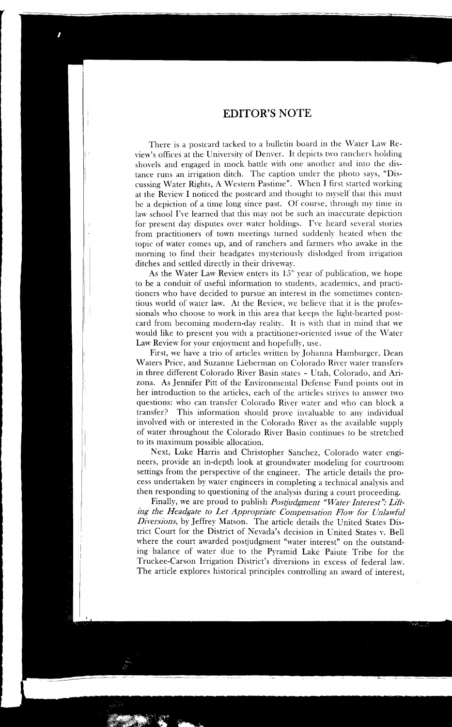There is a postcard tacked to a bulletin board in the Water Law Review's offices at the University of Denver. It depicts two ranchers holding shovels and engaged in mock battle with one another and into the distance runs an irrigation ditch. The caption under the photo says, "Discussing Water Rights, A Western Pastime". \Vhen I first started working at the Review I noticed the postcard and thought to myself that this must be a depiction of a time long since past. Of course, through my time in law school I've learned that this may not be such an inaccurate depiction for present day disputes over water holdings. I've heard several stories from practitioners of town meetings turned suddenly heated when the topic of water comes up, and of ranchers and fanners who awake in the morning to find their headgates mysteriously dislodged from irrigation ditches and settled directly in their driveway.

As the Water Law Review enters its  $15<sup>th</sup>$  year of publication, we hope to be a conduit of useful information to students, academics, and practitioners who have decided to pursue an interest in the sometimes contentious world of water law. At the Review, we believe that it is the professionals who choose to work in this area that keeps the light-hearted postcard from becoming modern-day reality. It is with that in mind that we would like to present you with a practitioner-oriented issue of the Water Law Review for your enjoyment and hopefully, use.

First, we have a trio of articles written by Johanna Hamburger, Dean Waters Price, and Suzanne Lieberman on Colorado River water transfers in three different Colorado River Basin states - Utah, Colorado, and Arizona. As Jennifer Pitt of the Environmental Defense Fund points out in her introduction to the articles, each of the articles strives to answer two questions: who can transfer Colorado River water and who can block a transfer? This information should prove invaluable to any individual involved with or interested in the Colorado River as the available supply of water throughout the Colorado River Basin continues to be stretched to its maximum possible allocation.

Next, Luke Harris and Christopher Sanchez, Colorado water engineers, provide an in-depth look at groundwater modeling for courtroom settings from the perspective of the engineer. The article details the process undertaken by water engineers in completing a technical analysis and then responding to questioning of the analysis during a court proceeding.

Finally, we are proud to publish *Postjudgment "Water Interest": Lifting the Headgate to Let Appropriate Compensation Flow for Unlawful Diversions,* by Jeffrey Matson. The article details the United States District Court for the District of Nevada's decision in United States v. Bell where the court awarded postjudgment "water interest" on the outstanding balance of water due to the Pyramid Lake ·Paiute Tribe for the Truckee-Carson Irrigation District's diversions in excess of federal law. The article explores historical principles controlling an award of interest,